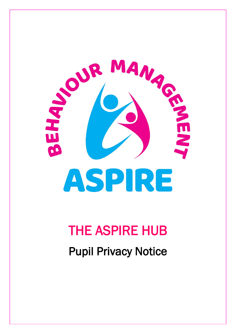

# THE ASPIRE HUB

Pupil Privacy Notice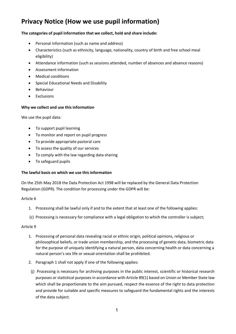# **Privacy Notice (How we use pupil information)**

### **The categories of pupil information that we collect, hold and share include:**

- Personal information (such as name and address)
- Characteristics (such as ethnicity, language, nationality, country of birth and free school meal eligibility)
- Attendance information (such as sessions attended, number of absences and absence reasons)
- Assessment information
- Medical conditions
- Special Educational Needs and Disability
- Behaviour
- **Exclusions**

#### **Why we collect and use this information**

We use the pupil data:

- To support pupil learning
- To monitor and report on pupil progress
- To provide appropriate pastoral care
- To assess the quality of our services
- To comply with the law regarding data sharing
- To safeguard pupils

#### **The lawful basis on which we use this information**

On the 25th May 2018 the Data Protection Act 1998 will be replaced by the General Data Protection Regulation (GDPR). The condition for processing under the GDPR will be:

#### Article 6

- 1. Processing shall be lawful only if and to the extent that at least one of the following applies:
- (c) Processing is necessary for compliance with a legal obligation to which the controller is subject;

#### Article 9

- 1. Processing of personal data revealing racial or ethnic origin, political opinions, religious or philosophical beliefs, or trade union membership, and the processing of genetic data, biometric data for the purpose of uniquely identifying a natural person, data concerning health or data concerning a natural person's sex life or sexual orientation shall be prohibited.
- 2. Paragraph 1 shall not apply if one of the following applies:
- (j) Processing is necessary for archiving purposes in the public interest, scientific or historical research purposes or statistical purposes in accordance with Article 89(1) based on Union or Member State law which shall be proportionate to the aim pursued, respect the essence of the right to data protection and provide for suitable and specific measures to safeguard the fundamental rights and the interests of the data subject.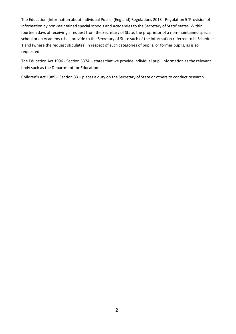The Education (Information about Individual Pupils) (England) Regulations 2013 - Regulation 5 'Provision of information by non-maintained special schools and Academies to the Secretary of State' states 'Within fourteen days of receiving a request from the Secretary of State, the proprietor of a non-maintained special school or an Academy (shall provide to the Secretary of State such of the information referred to in Schedule 1 and (where the request stipulates) in respect of such categories of pupils, or former pupils, as is so requested.'

The Education Act 1996 - Section 537A – states that we provide individual pupil information as the relevant body such as the Department for Education.

Children's Act 1989 – Section 83 – places a duty on the Secretary of State or others to conduct research.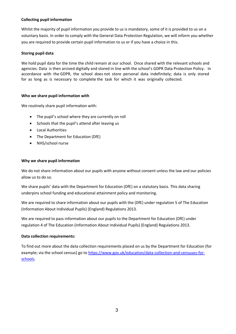### **Collecting pupil information**

Whilst the majority of pupil information you provide to us is mandatory, some of it is provided to us on a voluntary basis. In order to comply with the General Data Protection Regulation, we will inform you whether you are required to provide certain pupil information to us or if you have a choice in this.

### **Storing pupil data**

We hold pupil data for the time the child remain at our school. Once shared with the relevant schools and agencies. Data is then arcived digitally and stored in line with the school's GDPR Data Protection Policy. In accordance with the GDPR, the school does not store personal data indefinitely; data is only stored for as long as is necessary to complete the task for which it was originally collected.

#### **Who we share pupil information with**

We routinely share pupil information with:

- The pupil's school where they are currently on roll
- Schools that the pupil's attend after leaving us
- Local Authorities
- The Department for Education (DfE)
- NHS/school nurse

#### **Why we share pupil information**

We do not share information about our pupils with anyone without consent unless the law and our policies allow us to do so.

We share pupils' data with the Department for Education (DfE) on a statutory basis. This data sharing underpins school funding and educational attainment policy and monitoring.

We are required to share information about our pupils with the (DfE) under regulation 5 of The Education (Information About Individual Pupils) (England) Regulations 2013.

We are required to pass information about our pupils to the Department for Education (DfE) under regulation 4 of The Education (Information About Individual Pupils) (England) Regulations 2013.

#### **Data collection requirements:**

To find out more about the data collection requirements placed on us by the Department for Education (for example; via the school census) go to [https://www.gov.uk/education/data-collection-and-censuses-for](https://www.gov.uk/education/data-collection-and-censuses-for-schools)[schools.](https://www.gov.uk/education/data-collection-and-censuses-for-schools)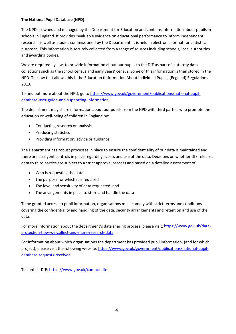## **The National Pupil Database (NPD)**

The NPD is owned and managed by the Department for Education and contains information about pupils in schools in England. It provides invaluable evidence on educational performance to inform independent research, as well as studies commissioned by the Department. It is held in electronic format for statistical purposes. This information is securely collected from a range of sources including schools, local authorities and awarding bodies.

We are required by law, to provide information about our pupils to the DfE as part of statutory data collections such as the school census and early years' census. Some of this information is then stored in the NPD. The law that allows this is the Education (Information About Individual Pupils) (England) Regulations 2013.

To find out more about the NPD, go to [https://www.gov.uk/government/publications/national-pupil](https://www.gov.uk/government/publications/national-pupil-database-user-guide-and-supporting-information)[database-user-guide-and-supporting-information.](https://www.gov.uk/government/publications/national-pupil-database-user-guide-and-supporting-information)

The department may share information about our pupils from the NPD with third parties who promote the education or well-being of children in England by:

- Conducting research or analysis
- Producing statistics
- Providing information, advice or guidance

The Department has robust processes in place to ensure the confidentiality of our data is maintained and there are stringent controls in place regarding access and use of the data. Decisions on whether DfE releases data to third parties are subject to a strict approval process and based on a detailed assessment of:

- Who is requesting the data
- The purpose for which it is required
- The level and sensitivity of data requested: and
- The arrangements in place to store and handle the data

To be granted access to pupil information, organisations must comply with strict terms and conditions covering the confidentiality and handling of the data, security arrangements and retention and use of the data.

For more information about the department's data sharing process, please visit: [https://www.gov.uk/data](https://www.gov.uk/data-protection-how-we-collect-and-share-research-data)[protection-how-we-collect-and-share-research-data](https://www.gov.uk/data-protection-how-we-collect-and-share-research-data)

For information about which organisations the department has provided pupil information, (and for which project), please visit the following website: [https://www.gov.uk/government/publications/national-pupil](https://www.gov.uk/government/publications/national-pupil-database-requests-received)[database-requests-received](https://www.gov.uk/government/publications/national-pupil-database-requests-received)

To contact DfE:<https://www.gov.uk/contact-dfe>